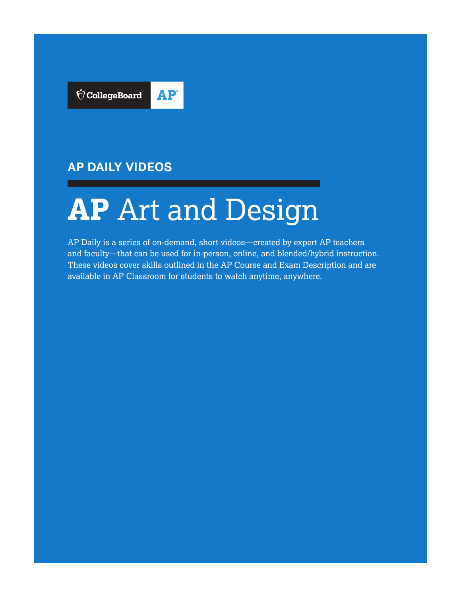

## **AP DAILY VIDEOS**

# **AP** Art and Design

AP Daily is a series of on-demand, short videos—created by expert AP teachers and faculty—that can be used for in-person, online, and blended/hybrid instruction. These videos cover skills outlined in the AP Course and Exam Description and are available in AP Classroom for students to watch anytime, anywhere.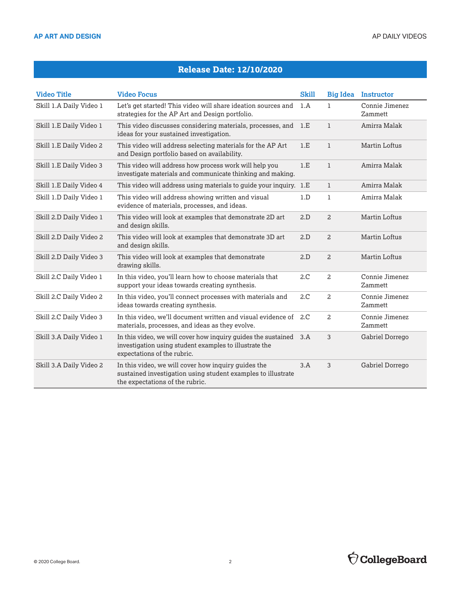#### **Release Date: 12/10/2020**

| <b>Video Title</b>      | <b>Video Focus</b>                                                                                                                                     | <b>Skill</b> |                | <b>Big Idea</b> Instructor |
|-------------------------|--------------------------------------------------------------------------------------------------------------------------------------------------------|--------------|----------------|----------------------------|
| Skill 1.A Daily Video 1 | Let's get started! This video will share ideation sources and<br>strategies for the AP Art and Design portfolio.                                       | 1.A          | $\mathbf{1}$   | Connie Jimenez<br>Zammett  |
| Skill 1.E Daily Video 1 | This video discusses considering materials, processes, and<br>ideas for your sustained investigation.                                                  | 1.E          | $\mathbf{1}$   | Amirra Malak               |
| Skill 1.E Daily Video 2 | This video will address selecting materials for the AP Art<br>and Design portfolio based on availability.                                              | 1.E          | $\mathbf{1}$   | Martin Loftus              |
| Skill 1.E Daily Video 3 | This video will address how process work will help you<br>investigate materials and communicate thinking and making.                                   | 1.E          | $\mathbf{1}$   | Amirra Malak               |
| Skill 1.E Daily Video 4 | This video will address using materials to guide your inquiry. 1.E                                                                                     |              | $\mathbf{1}$   | Amirra Malak               |
| Skill 1.D Daily Video 1 | This video will address showing written and visual<br>evidence of materials, processes, and ideas.                                                     | 1.D          | $\mathbf{1}$   | Amirra Malak               |
| Skill 2.D Daily Video 1 | This video will look at examples that demonstrate 2D art<br>and design skills.                                                                         | 2.D          | $\overline{a}$ | Martin Loftus              |
| Skill 2.D Daily Video 2 | This video will look at examples that demonstrate 3D art<br>and design skills.                                                                         | 2.D          | $\overline{a}$ | Martin Loftus              |
| Skill 2.D Daily Video 3 | This video will look at examples that demonstrate<br>drawing skills.                                                                                   | 2.D          | 2              | <b>Martin Loftus</b>       |
| Skill 2.C Daily Video 1 | In this video, you'll learn how to choose materials that<br>support your ideas towards creating synthesis.                                             | 2.C          | 2              | Connie Jimenez<br>Zammett  |
| Skill 2.C Daily Video 2 | In this video, you'll connect processes with materials and<br>ideas towards creating synthesis.                                                        | 2.C          | 2              | Connie Jimenez<br>Zammett  |
| Skill 2.C Daily Video 3 | In this video, we'll document written and visual evidence of<br>materials, processes, and ideas as they evolve.                                        | 2.C          | 2              | Connie Jimenez<br>Zammett  |
| Skill 3.A Daily Video 1 | In this video, we will cover how inquiry guides the sustained<br>investigation using student examples to illustrate the<br>expectations of the rubric. | 3.A          | 3              | Gabriel Dorrego            |
| Skill 3.A Daily Video 2 | In this video, we will cover how inquiry guides the<br>sustained investigation using student examples to illustrate<br>the expectations of the rubric. | 3.A          | 3              | Gabriel Dorrego            |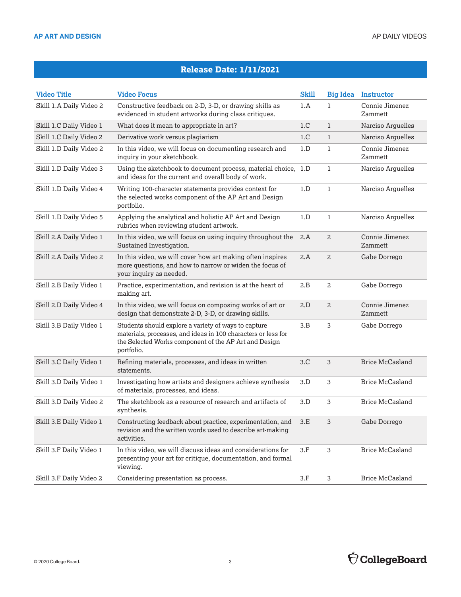#### **Release Date: 1/11/2021**

| <b>Video Title</b>      | <b>Video Focus</b>                                                                                                                                                                           | <b>Skill</b> | <b>Big Idea</b> | <b>Instructor</b>         |
|-------------------------|----------------------------------------------------------------------------------------------------------------------------------------------------------------------------------------------|--------------|-----------------|---------------------------|
| Skill 1.A Daily Video 2 | Constructive feedback on 2-D, 3-D, or drawing skills as<br>evidenced in student artworks during class critiques.                                                                             | 1.A          | ı               | Connie Jimenez<br>Zammett |
| Skill 1.C Daily Video 1 | What does it mean to appropriate in art?                                                                                                                                                     | 1.C          | $\mathbf{1}$    | Narciso Arguelles         |
| Skill 1.C Daily Video 2 | Derivative work versus plagiarism                                                                                                                                                            | 1.C          | $\mathbf{1}$    | Narciso Arguelles         |
| Skill 1.D Daily Video 2 | In this video, we will focus on documenting research and<br>inquiry in your sketchbook.                                                                                                      | 1.D          | $\mathbf{1}$    | Connie Jimenez<br>Zammett |
| Skill 1.D Daily Video 3 | Using the sketchbook to document process, material choice, 1.D<br>and ideas for the current and overall body of work.                                                                        |              | 1               | Narciso Arguelles         |
| Skill 1.D Daily Video 4 | Writing 100-character statements provides context for<br>the selected works component of the AP Art and Design<br>portfolio.                                                                 | 1.D          | 1               | Narciso Arguelles         |
| Skill 1.D Daily Video 5 | Applying the analytical and holistic AP Art and Design<br>rubrics when reviewing student artwork.                                                                                            | 1.D          | $\mathbf 1$     | Narciso Arguelles         |
| Skill 2.A Daily Video 1 | In this video, we will focus on using inquiry throughout the<br>Sustained Investigation.                                                                                                     | 2.A          | 2               | Connie Jimenez<br>Zammett |
| Skill 2.A Daily Video 2 | In this video, we will cover how art making often inspires<br>more questions, and how to narrow or widen the focus of<br>your inquiry as needed.                                             | 2.A          | $\overline{a}$  | Gabe Dorrego              |
| Skill 2.B Daily Video 1 | Practice, experimentation, and revision is at the heart of<br>making art.                                                                                                                    | 2.B          | 2               | Gabe Dorrego              |
| Skill 2.D Daily Video 4 | In this video, we will focus on composing works of art or<br>design that demonstrate 2-D, 3-D, or drawing skills.                                                                            | 2.D          | 2               | Connie Jimenez<br>Zammett |
| Skill 3.B Daily Video 1 | Students should explore a variety of ways to capture<br>materials, processes, and ideas in 100 characters or less for<br>the Selected Works component of the AP Art and Design<br>portfolio. | 3.B          | 3               | Gabe Dorrego              |
| Skill 3.C Daily Video 1 | Refining materials, processes, and ideas in written<br>statements.                                                                                                                           | 3.C          | 3               | Brice McCasland           |
| Skill 3.D Daily Video 1 | Investigating how artists and designers achieve synthesis<br>of materials, processes, and ideas.                                                                                             | 3.D          | 3               | <b>Brice McCasland</b>    |
| Skill 3.D Daily Video 2 | The sketchbook as a resource of research and artifacts of<br>synthesis.                                                                                                                      | 3.D          | 3               | <b>Brice McCasland</b>    |
| Skill 3.E Daily Video 1 | Constructing feedback about practice, experimentation, and<br>revision and the written words used to describe art-making<br>activities.                                                      | 3.E          | 3               | Gabe Dorrego              |
| Skill 3.F Daily Video 1 | In this video, we will discuss ideas and considerations for<br>presenting your art for critique, documentation, and formal<br>viewing.                                                       | 3.F          | 3               | <b>Brice McCasland</b>    |
| Skill 3.F Daily Video 2 | Considering presentation as process.                                                                                                                                                         | $3.F$        | 3               | <b>Brice McCasland</b>    |